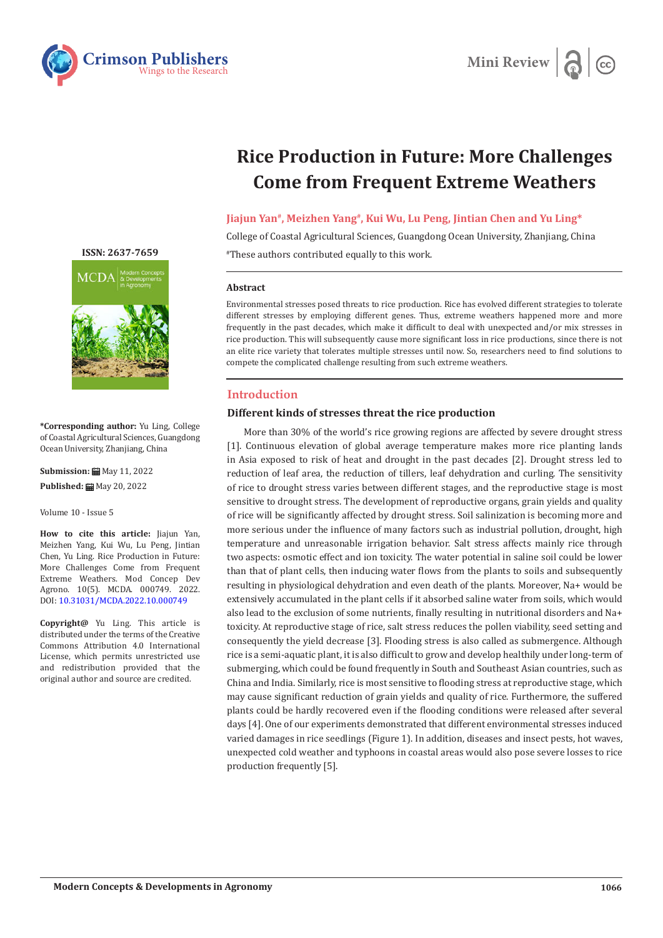



# **Rice Production in Future: More Challenges Come from Frequent Extreme Weathers**

## **Jiajun Yan#, Meizhen Yang#, Kui Wu, Lu Peng, Jintian Chen and Yu Ling\***

College of Coastal Agricultural Sciences, Guangdong Ocean University, Zhanjiang, China #These authors contributed equally to this work.

#### **Abstract**

Environmental stresses posed threats to rice production. Rice has evolved different strategies to tolerate different stresses by employing different genes. Thus, extreme weathers happened more and more frequently in the past decades, which make it difficult to deal with unexpected and/or mix stresses in rice production. This will subsequently cause more significant loss in rice productions, since there is not an elite rice variety that tolerates multiple stresses until now. So, researchers need to find solutions to compete the complicated challenge resulting from such extreme weathers.

## **Introduction**

## **Different kinds of stresses threat the rice production**

More than 30% of the world's rice growing regions are affected by severe drought stress [1]. Continuous elevation of global average temperature makes more rice planting lands in Asia exposed to risk of heat and drought in the past decades [2]. Drought stress led to reduction of leaf area, the reduction of tillers, leaf dehydration and curling. The sensitivity of rice to drought stress varies between different stages, and the reproductive stage is most sensitive to drought stress. The development of reproductive organs, grain yields and quality of rice will be significantly affected by drought stress. Soil salinization is becoming more and more serious under the influence of many factors such as industrial pollution, drought, high temperature and unreasonable irrigation behavior. Salt stress affects mainly rice through two aspects: osmotic effect and ion toxicity. The water potential in saline soil could be lower than that of plant cells, then inducing water flows from the plants to soils and subsequently resulting in physiological dehydration and even death of the plants. Moreover, Na+ would be extensively accumulated in the plant cells if it absorbed saline water from soils, which would also lead to the exclusion of some nutrients, finally resulting in nutritional disorders and Na+ toxicity. At reproductive stage of rice, salt stress reduces the pollen viability, seed setting and consequently the yield decrease [3]. Flooding stress is also called as submergence. Although rice is a semi-aquatic plant, it is also difficult to grow and develop healthily under long-term of submerging, which could be found frequently in South and Southeast Asian countries, such as China and India. Similarly, rice is most sensitive to flooding stress at reproductive stage, which may cause significant reduction of grain yields and quality of rice. Furthermore, the suffered plants could be hardly recovered even if the flooding conditions were released after several days [4]. One of our experiments demonstrated that different environmental stresses induced varied damages in rice seedlings (Figure 1). In addition, diseases and insect pests, hot waves, unexpected cold weather and typhoons in coastal areas would also pose severe losses to rice production frequently [5].



**[ISSN: 2637-7659](https://www.crimsonpublishers.com/mcda/)**

**\*Corresponding author:** Yu Ling, College of Coastal Agricultural Sciences, Guangdong Ocean University, Zhanjiang, China

**Submission: ■ May 11, 2022 Published:** May 20, 2022

Volume 10 - Issue 5

**How to cite this article:** Jiajun Yan, Meizhen Yang, Kui Wu, Lu Peng, Jintian Chen, Yu Ling. Rice Production in Future: More Challenges Come from Frequent Extreme Weathers. Mod Concep Dev Agrono. 10(5). MCDA. 000749. 2022. DOI: [10.31031/MCDA.2022.10.000749](http://dx.doi.org/10.31031/MCDA.2022.10.000749)

**Copyright@** Yu Ling. This article is distributed under the terms of the Creative Commons Attribution 4.0 International License, which permits unrestricted use and redistribution provided that the original author and source are credited.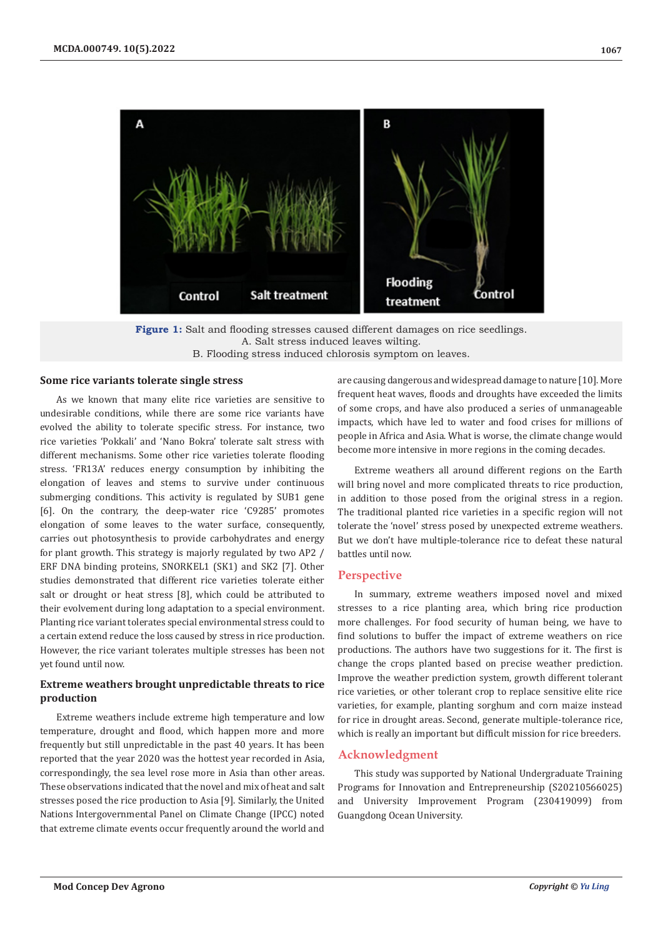

**Figure 1:** Salt and flooding stresses caused different damages on rice seedlings. A. Salt stress induced leaves wilting. B. Flooding stress induced chlorosis symptom on leaves.

#### **Some rice variants tolerate single stress**

As we known that many elite rice varieties are sensitive to undesirable conditions, while there are some rice variants have evolved the ability to tolerate specific stress. For instance, two rice varieties 'Pokkali' and 'Nano Bokra' tolerate salt stress with different mechanisms. Some other rice varieties tolerate flooding stress. 'FR13A' reduces energy consumption by inhibiting the elongation of leaves and stems to survive under continuous submerging conditions. This activity is regulated by SUB1 gene [6]. On the contrary, the deep-water rice 'C9285' promotes elongation of some leaves to the water surface, consequently, carries out photosynthesis to provide carbohydrates and energy for plant growth. This strategy is majorly regulated by two AP2 / ERF DNA binding proteins, SNORKEL1 (SK1) and SK2 [7]. Other studies demonstrated that different rice varieties tolerate either salt or drought or heat stress [8], which could be attributed to their evolvement during long adaptation to a special environment. Planting rice variant tolerates special environmental stress could to a certain extend reduce the loss caused by stress in rice production. However, the rice variant tolerates multiple stresses has been not yet found until now.

## **Extreme weathers brought unpredictable threats to rice production**

Extreme weathers include extreme high temperature and low temperature, drought and flood, which happen more and more frequently but still unpredictable in the past 40 years. It has been reported that the year 2020 was the hottest year recorded in Asia, correspondingly, the sea level rose more in Asia than other areas. These observations indicated that the novel and mix of heat and salt stresses posed the rice production to Asia [9]. Similarly, the United Nations Intergovernmental Panel on Climate Change (IPCC) noted that extreme climate events occur frequently around the world and

are causing dangerous and widespread damage to nature [10]. More frequent heat waves, floods and droughts have exceeded the limits of some crops, and have also produced a series of unmanageable impacts, which have led to water and food crises for millions of people in Africa and Asia. What is worse, the climate change would become more intensive in more regions in the coming decades.

Extreme weathers all around different regions on the Earth will bring novel and more complicated threats to rice production, in addition to those posed from the original stress in a region. The traditional planted rice varieties in a specific region will not tolerate the 'novel' stress posed by unexpected extreme weathers. But we don't have multiple-tolerance rice to defeat these natural battles until now.

#### **Perspective**

In summary, extreme weathers imposed novel and mixed stresses to a rice planting area, which bring rice production more challenges. For food security of human being, we have to find solutions to buffer the impact of extreme weathers on rice productions. The authors have two suggestions for it. The first is change the crops planted based on precise weather prediction. Improve the weather prediction system, growth different tolerant rice varieties, or other tolerant crop to replace sensitive elite rice varieties, for example, planting sorghum and corn maize instead for rice in drought areas. Second, generate multiple-tolerance rice, which is really an important but difficult mission for rice breeders.

## **Acknowledgment**

This study was supported by National Undergraduate Training Programs for Innovation and Entrepreneurship (S20210566025) and University Improvement Program (230419099) from Guangdong Ocean University.